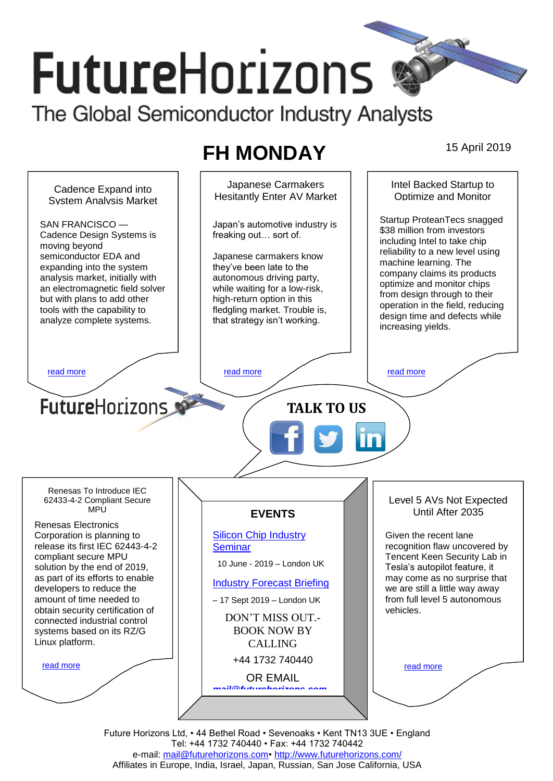# **FutureHorizons**

The Global Semiconductor Industry Analysts

## **FH MONDAY** 15 April 2019

Japanese Carmakers Intel Backed Startup to Cadence Expand into Hesitantly Enter AV Market Optimize and Monitor System Analysis Market Startup ProteanTecs snagged SAN FRANCISCO — Japan's automotive industry is \$38 million from investors Cadence Design Systems is freaking out… sort of. including Intel to take chip moving beyond reliability to a new level using semiconductor EDA and Japanese carmakers know machine learning. The expanding into the system they've been late to the company claims its products analysis market, initially with autonomous driving party, optimize and monitor chips an electromagnetic field solver while waiting for a low-risk, from design through to their but with plans to add other high-return option in this operation in the field, reducing tools with the capability to fledgling market. Trouble is, design time and defects while analyze complete systems. that strategy isn't working. increasing yields. [read more](#page-1-1) that the second contract the second contract of the read more that the read more that the read more **Future**Horizons **TALK TO US** Renesas To Introduce IEC 62433-4-2 Compliant Secure Level 5 AVs Not Expected **MPU** Until After 2035 **EVENTS** Renesas Electronics Corporation is planning to [Silicon Chip Industry](http://www.futurehorizons.com/page/12/silicon-chip-training)  Given the recent lane release its first IEC 62443-4-2 **[Seminar](http://www.futurehorizons.com/page/12/silicon-chip-training)** recognition flaw uncovered by compliant secure MPU Tencent Keen Security Lab in 10 June - 2019 – London UK solution by the end of 2019, Tesla's autopilot feature, it as part of its efforts to enable may come as no surprise that [Industry Forecast Briefing](http://www.futurehorizons.com/page/13/Semiconductor-Market-Forecast-Seminar) developers to reduce the we are still a little way away amount of time needed to from full level 5 autonomous – 17 Sept 2019 – London UK obtain security certification of vehicles. DON'T MISS OUT. connected industrial control BOOK NOW BY systems based on its RZ/G Linux platform.CALLING +44 1732 740440 [read more](#page-1-3) [read more](#page-1-4) OR EMAIL *[mail@futurehorizons.com](mailto:mail@futurehorizons.com)*

Future Horizons Ltd, • 44 Bethel Road • Sevenoaks • Kent TN13 3UE • England Tel: +44 1732 740440 • Fax: +44 1732 740442 e-mail: [mail@futurehorizons.com•](../FH%20Monday%20-%202017/mail@futurehorizons.com)<http://www.futurehorizons.com/> Affiliates in Europe, India, Israel, Japan, Russian, San Jose California, USA